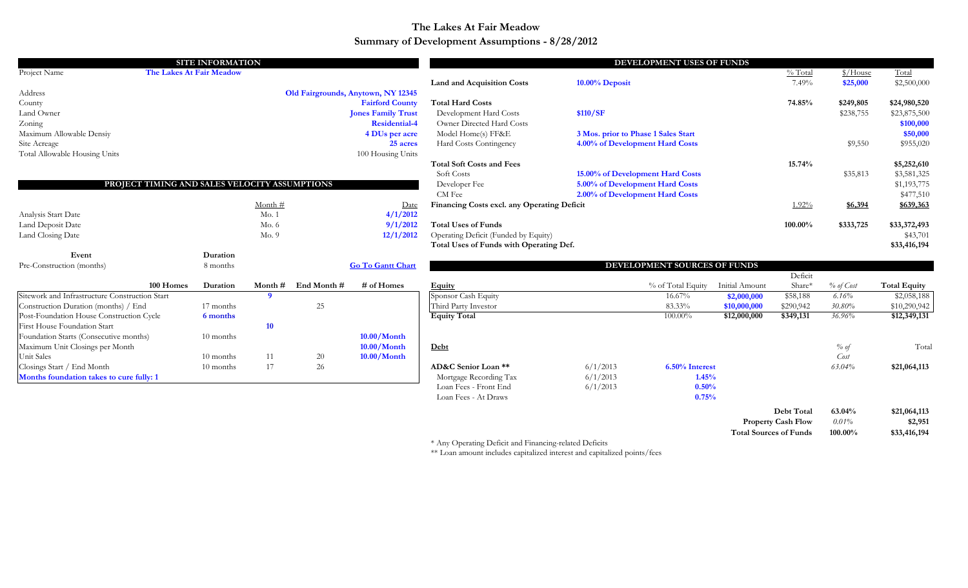#### **Summary of Development Assumptions - 8/28/2012 The Lakes At Fair Meadow**

|                                                |                                               | <b>SITE INFORMATION</b> |           |             |                                    |                                                 |                                     | DEVELOPMENT USES OF FUNDS        |                |                           |                        |                     |
|------------------------------------------------|-----------------------------------------------|-------------------------|-----------|-------------|------------------------------------|-------------------------------------------------|-------------------------------------|----------------------------------|----------------|---------------------------|------------------------|---------------------|
| Project Name                                   | The Lakes At Fair Meadow                      |                         |           |             |                                    |                                                 |                                     |                                  |                | % Total                   | $\frac{\sqrt{3}}{100}$ | Total               |
|                                                |                                               |                         |           |             |                                    | <b>Land and Acquisition Costs</b>               | 10.00% Deposit                      |                                  |                | 7.49%                     | \$25,000               | \$2,500,000         |
| Address                                        |                                               |                         |           |             | Old Fairgrounds, Anytown, NY 12345 |                                                 |                                     |                                  |                |                           |                        |                     |
| County                                         |                                               |                         |           |             | <b>Fairford County</b>             | <b>Total Hard Costs</b>                         |                                     |                                  |                | 74.85%                    | \$249,805              | \$24,980,520        |
| Land Owner                                     |                                               |                         |           |             | <b>Jones Family Trust</b>          | Development Hard Costs                          | \$110/SF                            |                                  |                |                           | \$238,755              | \$23,875,500        |
| Zoning                                         |                                               |                         |           |             | <b>Residential-4</b>               | Owner Directed Hard Costs                       |                                     |                                  |                |                           |                        | \$100,000           |
| Maximum Allowable Densiy                       |                                               |                         |           |             | 4 DUs per acre                     | Model Home(s) FF&E                              | 3 Mos. prior to Phase 1 Sales Start |                                  |                |                           |                        | \$50,000            |
| Site Acreage                                   |                                               |                         |           |             | 25 acres                           | Hard Costs Contingency                          |                                     | 4.00% of Development Hard Costs  |                |                           | \$9,550                | \$955,020           |
| Total Allowable Housing Units                  |                                               |                         |           |             | 100 Housing Units                  |                                                 |                                     |                                  |                |                           |                        |                     |
|                                                |                                               |                         |           |             |                                    | <b>Total Soft Costs and Fees</b>                |                                     |                                  |                | 15.74%                    |                        | \$5,252,610         |
|                                                |                                               |                         |           |             |                                    | Soft Costs                                      |                                     | 15.00% of Development Hard Costs |                |                           | \$35,813               | \$3,581,325         |
|                                                | PROJECT TIMING AND SALES VELOCITY ASSUMPTIONS |                         |           |             |                                    | Developer Fee                                   |                                     | 5.00% of Development Hard Costs  |                |                           |                        | \$1,193,775         |
|                                                |                                               |                         |           |             |                                    | CM Fee                                          |                                     | 2.00% of Development Hard Costs  |                |                           |                        | \$477,510           |
|                                                |                                               |                         | Month #   |             | Date                               | Financing Costs excl. any Operating Deficit     |                                     |                                  |                | 1.92%                     | \$6,394                | \$639,363           |
| Analysis Start Date                            |                                               |                         | Mo.1      |             | 4/1/2012                           |                                                 |                                     |                                  |                |                           |                        |                     |
| Land Deposit Date                              |                                               |                         | Mo.6      |             | 9/1/2012                           | <b>Total Uses of Funds</b>                      |                                     |                                  |                | 100.00%                   | \$333,725              | \$33,372,493        |
| Land Closing Date                              |                                               |                         | Mo.9      |             | 12/1/2012                          | Operating Deficit (Funded by Equity)            |                                     |                                  |                |                           |                        | \$43,701            |
|                                                |                                               |                         |           |             |                                    | Total Uses of Funds with Operating Def.         |                                     |                                  |                |                           |                        | \$33,416,194        |
| Event                                          |                                               | Duration                |           |             |                                    |                                                 |                                     |                                  |                |                           |                        |                     |
| Pre-Construction (months)                      |                                               | 8 months                |           |             | <b>Go To Gantt Chart</b>           |                                                 |                                     | DEVELOPMENT SOURCES OF FUNDS     |                |                           |                        |                     |
|                                                |                                               |                         |           |             |                                    |                                                 |                                     |                                  |                | Deficit                   |                        |                     |
|                                                | 100 Homes                                     | Duration                | Month $#$ | End Month # | # of Homes                         | <b>Equity</b>                                   |                                     | % of Total Equity                | Initial Amount | Share*                    | % of Cost              | <b>Total Equity</b> |
| Sitework and Infrastructure Construction Start |                                               |                         | - 9       |             |                                    | Sponsor Cash Equity                             |                                     | 16.67%                           | \$2,000,000    | \$58,188                  | 6.16%                  | \$2,058,188         |
| Construction Duration (months) / End           |                                               | 17 months               |           | 25          |                                    | Third Party Investor                            |                                     | 83.33%                           | \$10,000,000   | \$290,942                 | 30.80%                 | \$10,290,942        |
| Post-Foundation House Construction Cycle       |                                               | 6 months                |           |             |                                    | <b>Equity Total</b>                             |                                     | 100.00%                          | \$12,000,000   | \$349,131                 | 36.96%                 | \$12,349,131        |
| First House Foundation Start                   |                                               |                         | 10        |             |                                    |                                                 |                                     |                                  |                |                           |                        |                     |
| Foundation Starts (Consecutive months)         |                                               | 10 months               |           |             | $10.00/M$ onth                     |                                                 |                                     |                                  |                |                           |                        |                     |
| Maximum Unit Closings per Month                |                                               |                         |           |             | $10.00/M$ onth                     | <b>Debt</b>                                     |                                     |                                  |                |                           | % of                   | Total               |
| Unit Sales<br>Closings Start / End Month       |                                               | 10 months               | 11<br>17  | 20          | $10.00/M$ onth                     | AD&C Senior Loan **                             | 6/1/2013                            | 6.50% Interest                   |                |                           | Cost<br>63.04%         |                     |
|                                                |                                               | 10 months               |           | 26          |                                    |                                                 | 6/1/2013                            | 1.45%                            |                |                           |                        | \$21,064,113        |
| Months foundation takes to cure fully: 1       |                                               |                         |           |             |                                    | Mortgage Recording Tax<br>Loan Fees - Front End | 6/1/2013                            | 0.50%                            |                |                           |                        |                     |
|                                                |                                               |                         |           |             |                                    | Loan Fees - At Draws                            |                                     | 0.75%                            |                |                           |                        |                     |
|                                                |                                               |                         |           |             |                                    |                                                 |                                     |                                  |                |                           |                        |                     |
|                                                |                                               |                         |           |             |                                    |                                                 |                                     |                                  |                | Debt Total                | 63.04%                 | \$21,064,113        |
|                                                |                                               |                         |           |             |                                    |                                                 |                                     |                                  |                | <b>Property Cash Flow</b> | 0.01%                  | \$2,951             |

\* Any Operating Deficit and Financing-related Deficits

\*\* Loan amount includes capitalized interest and capitalized points/fees

**Total Sources of Funds 100.00% \$33,416,194**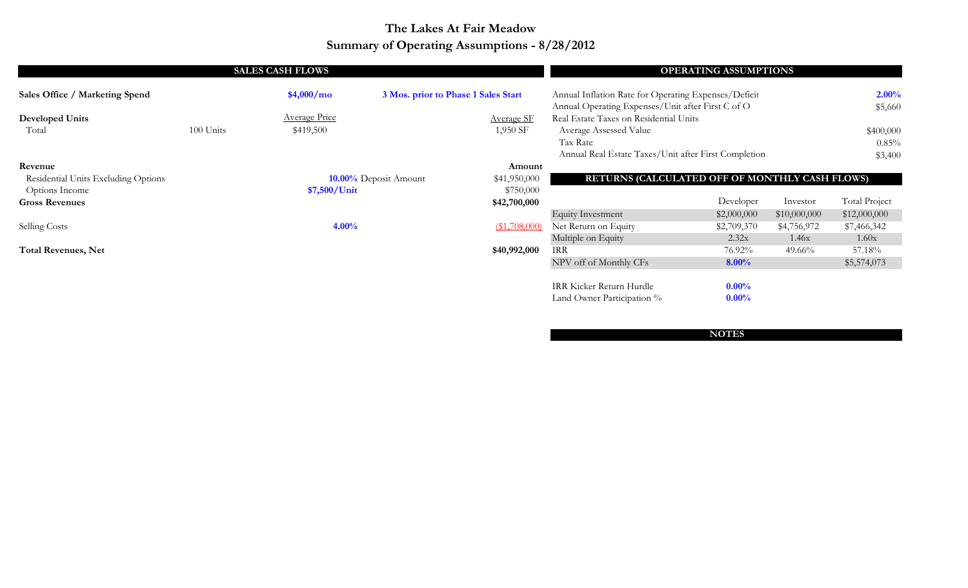## **Summary of Operating Assumptions - 8/28/2012 The Lakes At Fair Meadow**

|                                     |           | <b>SALES CASH FLOWS</b> |                                     |                   |                                                      | <b>OPERATING ASSUMPTIONS</b> |              |                      |
|-------------------------------------|-----------|-------------------------|-------------------------------------|-------------------|------------------------------------------------------|------------------------------|--------------|----------------------|
| Sales Office / Marketing Spend      |           | \$4,000/mol             | 3 Mos. prior to Phase 1 Sales Start |                   | Annual Inflation Rate for Operating Expenses/Deficit |                              |              | 2.00%                |
|                                     |           |                         |                                     |                   | Annual Operating Expenses/Unit after First C of O    |                              |              | \$5,660              |
| <b>Developed Units</b>              |           | <b>Average Price</b>    |                                     | <b>Average SF</b> | Real Estate Taxes on Residential Units               |                              |              |                      |
| Total                               | 100 Units | \$419,500               |                                     | 1,950 SF          | Average Assessed Value                               |                              |              | \$400,000            |
|                                     |           |                         |                                     |                   | Tax Rate                                             |                              |              | 0.85%                |
|                                     |           |                         |                                     |                   | Annual Real Estate Taxes/Unit after First Completion |                              |              | \$3,400              |
| Revenue                             |           |                         |                                     | Amount            |                                                      |                              |              |                      |
| Residential Units Excluding Options |           |                         | 10.00% Deposit Amount               | \$41,950,000      | RETURNS (CALCULATED OFF OF MONTHLY CASH FLOWS)       |                              |              |                      |
| Options Income                      |           | \$7,500/Unit            |                                     | \$750,000         |                                                      |                              |              |                      |
| <b>Gross Revenues</b>               |           |                         |                                     | \$42,700,000      |                                                      | Developer                    | Investor     | <b>Total Project</b> |
|                                     |           |                         |                                     |                   | <b>Equity Investment</b>                             | \$2,000,000                  | \$10,000,000 | \$12,000,000         |
| <b>Selling Costs</b>                |           | $4.00\%$                |                                     | $($ \$1,708,000)  | Net Return on Equity                                 | \$2,709,370                  | \$4,756,972  | \$7,466,342          |
|                                     |           |                         |                                     |                   | Multiple on Equity                                   | 2.32x                        | 1.46x        | 1.60x                |
| <b>Total Revenues, Net</b>          |           |                         |                                     | \$40,992,000      | <b>IRR</b>                                           | 76.92%                       | 49.66%       | 57.18%               |
|                                     |           |                         |                                     |                   | NPV off of Monthly CFs                               | $8.00\%$                     |              | \$5,574,073          |
|                                     |           |                         |                                     |                   | IRR Kicker Return Hurdle                             | $0.00\%$                     |              |                      |
|                                     |           |                         |                                     |                   | Land Owner Participation %                           | $0.00\%$                     |              |                      |

**NOTES**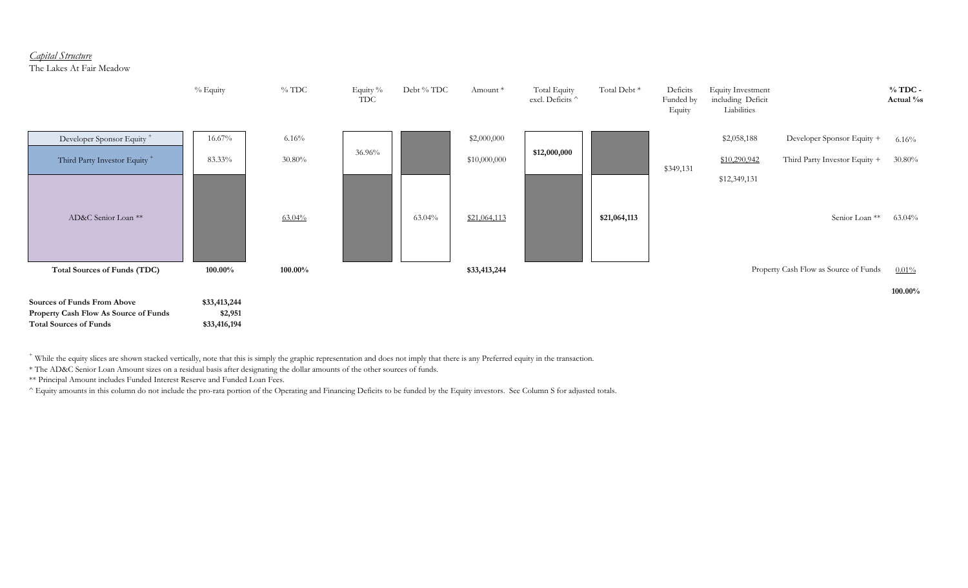#### *Capital Structure*

The Lakes At Fair Meadow



+ While the equity slices are shown stacked vertically, note that this is simply the graphic representation and does not imply that there is any Preferred equity in the transaction.

\* The AD&C Senior Loan Amount sizes on a residual basis after designating the dollar amounts of the other sources of funds.

\*\* Principal Amount includes Funded Interest Reserve and Funded Loan Fees.

^ Equity amounts in this column do not include the pro-rata portion of the Operating and Financing Deficits to be funded by the Equity investors. See Column S for adjusted totals.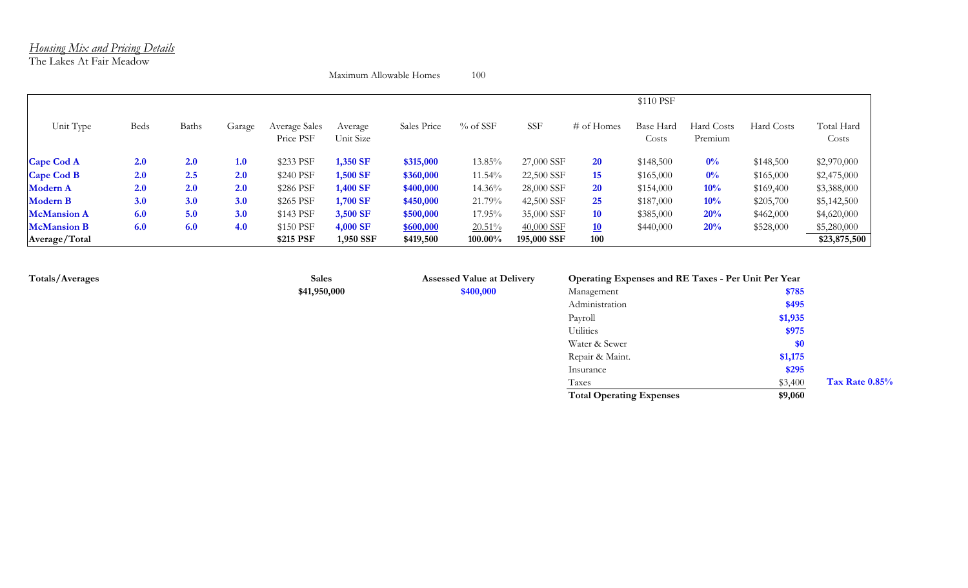#### *Housing Mix and Pricing Details*

The Lakes At Fair Meadow

Maximum Allowable Homes 100

|                    |      |              |            |                            |                      |             |            |             |               | \$110 PSF          |                       |            |                     |
|--------------------|------|--------------|------------|----------------------------|----------------------|-------------|------------|-------------|---------------|--------------------|-----------------------|------------|---------------------|
| Unit Type          | Beds | <b>Baths</b> | Garage     | Average Sales<br>Price PSF | Average<br>Unit Size | Sales Price | $%$ of SSF | <b>SSF</b>  | $\#$ of Homes | Base Hard<br>Costs | Hard Costs<br>Premium | Hard Costs | Total Hard<br>Costs |
| <b>Cape Cod A</b>  | 2.0  | 2.0          | 1.0        | \$233 PSF                  | 1,350 SF             | \$315,000   | 13.85%     | 27,000 SSF  | <b>20</b>     | \$148,500          | $0\%$                 | \$148,500  | \$2,970,000         |
| <b>Cape Cod B</b>  | 2.0  | 2.5          | <b>2.0</b> | \$240 PSF                  | 1,500 SF             | \$360,000   | 11.54%     | 22,500 SSF  | 15            | \$165,000          | $0\%$                 | \$165,000  | \$2,475,000         |
| <b>Modern A</b>    | 2.0  | 2.0          | 2.0        | \$286 PSF                  | 1,400 SF             | \$400,000   | 14.36%     | 28,000 SSF  | <b>20</b>     | \$154,000          | 10%                   | \$169,400  | \$3,388,000         |
| <b>Modern B</b>    | 3.0  | 3.0          | 3.0        | \$265 PSF                  | 1,700 SF             | \$450,000   | 21.79%     | 42,500 SSF  | 25            | \$187,000          | 10%                   | \$205,700  | \$5,142,500         |
| <b>McMansion A</b> | 6.0  | 5.0          | 3.0        | \$143 PSF                  | 3,500 SF             | \$500,000   | 17.95%     | 35,000 SSF  | <b>10</b>     | \$385,000          | 20%                   | \$462,000  | \$4,620,000         |
| <b>McMansion B</b> | 6.0  | 6.0          | 4.0        | \$150 PSF                  | 4,000 SF             | \$600,000   | $20.51\%$  | 40,000 SSF  | 10            | \$440,000          | 20%                   | \$528,000  | \$5,280,000         |
| Average/Total      |      |              |            | \$215 PSF                  | 1,950 SSF            | \$419,500   | 100.00%    | 195,000 SSF | 100           |                    |                       |            | \$23,875,500        |

**Sales \$41,950,000**

**Totals/Averages Assessed Value at Delivery Assessed Value at Delivery \$400,000** 

| Operating Expenses and RE Taxes - Per Unit Per Year |         |                   |
|-----------------------------------------------------|---------|-------------------|
| Management                                          | \$785   |                   |
| Administration                                      | \$495   |                   |
| Payroll                                             | \$1,935 |                   |
| <b>Utilities</b>                                    | \$975   |                   |
| Water & Sewer                                       | \$0     |                   |
| Repair & Maint.                                     | \$1,175 |                   |
| Insurance                                           | \$295   |                   |
| Taxes                                               | \$3,400 | Tax Rate $0.85\%$ |
| <b>Total Operating Expenses</b>                     | \$9,060 |                   |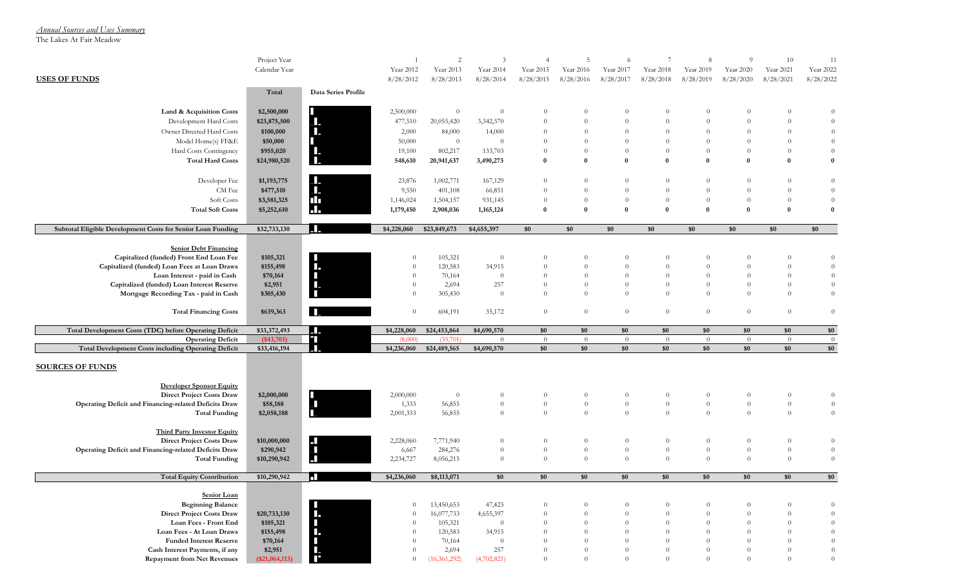*Annual Sources and Uses Summary*

The Lakes At Fair Meadow

|                                                               | Project Year<br>Calendar Year |                          | Year 2012      | $\overline{2}$<br>Year 2013 | 3<br>Year 2014 | $\overline{4}$<br>Year 2015 | 5<br>Year 2016 | 6<br>Year 2017 | Year 2018 | 8<br>Year 2019 | $\overline{Q}$<br>Year 2020 | 10<br>Year 2021 | 11<br>Year 2022 |
|---------------------------------------------------------------|-------------------------------|--------------------------|----------------|-----------------------------|----------------|-----------------------------|----------------|----------------|-----------|----------------|-----------------------------|-----------------|-----------------|
| <b>USES OF FUNDS</b>                                          |                               |                          | 8/28/2012      | 8/28/2013                   | 8/28/2014      | 8/28/2015                   | 8/28/2016      | 8/28/2017      | 8/28/2018 | 8/28/2019      | 8/28/2020                   | 8/28/2021       | 8/28/2022       |
|                                                               | Total                         | Data Series Profile      |                |                             |                |                             |                |                |           |                |                             |                 |                 |
| Land & Acquisition Costs                                      | \$2,500,000                   |                          | 2,500,000      | $\theta$                    | $\theta$       | $\theta$                    | $\theta$       | $\theta$       | $\theta$  | $\theta$       | $\theta$                    | $\theta$        | $\theta$        |
| Development Hard Costs                                        | \$23,875,500                  | Ш.                       | 477,510        | 20,055,420                  | 3,342,570      | $\Omega$                    | $\theta$       | $\theta$       | $\theta$  | $\theta$       | $\theta$                    | $\theta$        | $\overline{0}$  |
| Owner Directed Hard Costs                                     | \$100,000                     | П.                       | 2,000          | 84,000                      | 14,000         | $\Omega$                    | $\theta$       | $\theta$       | $\theta$  | $\theta$       | $\theta$                    | $\theta$        | $\theta$        |
| Model Home(s) FF&E                                            | \$50,000                      | П                        | 50,000         | $\overline{0}$              | $\theta$       | $\Omega$                    | $\theta$       | $\theta$       | $\theta$  | $\theta$       | $\theta$                    | $\theta$        | $\theta$        |
| Hard Costs Contingency                                        | \$955,020                     | П.                       | 19,100         | 802,217                     | 133,703        | $\theta$                    | $\theta$       | $\theta$       | $\theta$  | $\theta$       | $\theta$                    | $\theta$        | $\overline{0}$  |
| <b>Total Hard Costs</b>                                       | \$24,980,520                  | $\mathbf{L}$             | 548,610        | 20,941,637                  | 3,490,273      | $\mathbf{0}$                | $\bf{0}$       | $\bf{0}$       | $\bf{0}$  | $\bf{0}$       | $\bf{0}$                    | $\bf{0}$        | $\bf{0}$        |
| Developer Fee                                                 | \$1,193,775                   | Ш.                       | 23,876         | 1,002,771                   | 167,129        | $\theta$                    | $\theta$       | $\theta$       | $\theta$  | $\theta$       | $\theta$                    | $\theta$        | $\overline{0}$  |
| CM Fee                                                        | \$477,510                     | $\mathbf{L}$             | 9,550          | 401,108                     | 66,851         | $\Omega$                    | $\theta$       | $\theta$       | $\theta$  | $\theta$       | $\theta$                    | $\overline{0}$  | $\overline{0}$  |
| Soft Costs                                                    | \$3,581,325                   |                          | 1,146,024      | 1,504,157                   | 931,145        | $\Omega$                    | $\theta$       | $\Omega$       | $\theta$  | $\theta$       | $\theta$                    | $\theta$        | $\overline{0}$  |
| <b>Total Soft Costs</b>                                       | \$5,252,610                   | ₩                        | 1,179,450      | 2,908,036                   | 1,165,124      | $\bf{0}$                    | $\bf{0}$       | $\mathbf{0}$   | $\bf{0}$  | $\bf{0}$       | $\bf{0}$                    | $\bf{0}$        | $\bf{0}$        |
| Subtotal Eligible Development Costs for Senior Loan Funding   | \$32,733,130                  | П.                       | \$4,228,060    | \$23,849,673                | \$4,655,397    | \$0                         | \$0            | \$0            | \$0       | \$0            | \$0                         | \$0             | \$0             |
| <b>Senior Debt Financing</b>                                  |                               |                          |                |                             |                |                             |                |                |           |                |                             |                 |                 |
| Capitalized (funded) Front End Loan Fee                       | \$105,321                     | ш                        | $\overline{0}$ | 105,321                     | $\theta$       | $\theta$                    | $\theta$       | $\theta$       | $\theta$  | $\theta$       | $\theta$                    | $\theta$        | $\overline{0}$  |
| Capitalized (funded) Loan Fees at Loan Draws                  | \$155,498                     | п.                       | $\overline{0}$ | 120,583                     | 34,915         | $\theta$                    | $\theta$       | $\theta$       | $\theta$  | $\theta$       | $\theta$                    | $\theta$        | $\overline{0}$  |
| Loan Interest - paid in Cash                                  | \$70,164                      |                          | $\theta$       | 70,164                      | $\theta$       | $\theta$                    | $\theta$       | $\theta$       | $\theta$  | $\theta$       | $\theta$                    | $\theta$        | $\theta$        |
| Capitalized (funded) Loan Interest Reserve                    | \$2,951                       | J.                       | $\overline{0}$ | 2,694                       | 257            | $\theta$                    | $\theta$       | $\theta$       | $\theta$  | $\theta$       | $\theta$                    | $\theta$        | $\theta$        |
| Mortgage Recording Tax - paid in Cash                         | \$305,430                     | ш                        | $\theta$       | 305,430                     | $\theta$       | $\Omega$                    | $\theta$       | $\theta$       | $\theta$  | $\theta$       | $\theta$                    | $\theta$        | $\overline{0}$  |
| <b>Total Financing Costs</b>                                  | \$639,363                     | ш                        | $\overline{0}$ | 604,191                     | 35,172         | $\theta$                    | $\theta$       | $\theta$       | $\theta$  | $\theta$       | $\theta$                    | $\theta$        | $\overline{0}$  |
| <b>Total Development Costs (TDC) before Operating Deficit</b> | \$33,372,493                  | LL.                      | \$4,228,060    | \$24,453,864                | \$4,690,570    | \$0                         | \$0            | \$0            | \$0       | \$0            | \$0                         | \$0             | \$0             |
| <b>Operating Deficit</b>                                      | $(*43,701)$                   | Ш                        | (8,000)        | (35,701)                    | $\theta$       | $\theta$                    | $\theta$       | $\theta$       | $\theta$  | $\overline{0}$ | $\theta$                    | $\theta$        | $\overline{0}$  |
| <b>Total Development Costs including Operating Deficit</b>    | \$33,416,194                  | L.                       | \$4,236,060    | \$24,489,565                | \$4,690,570    | \$0                         | \$0            | \$0            | \$0       | \$0            | \$0                         | \$0             | \$0             |
| <b>SOURCES OF FUNDS</b>                                       |                               |                          |                |                             |                |                             |                |                |           |                |                             |                 |                 |
| <b>Developer Sponsor Equity</b>                               |                               |                          |                |                             |                |                             |                |                |           |                |                             |                 |                 |
| <b>Direct Project Costs Draw</b>                              | \$2,000,000                   |                          | 2,000,000      | $\overline{0}$              | $\theta$       | $\Omega$                    | $\theta$       | $\theta$       | $\theta$  | $\theta$       | $\theta$                    | $\theta$        | $\overline{0}$  |
| Operating Deficit and Financing-related Deficits Draw         | \$58,188                      | $\blacksquare$           | 1,333          | 56,855                      | $\theta$       | $\theta$                    | $\theta$       | $\theta$       | $\theta$  | $\theta$       | $\theta$                    | $\theta$        | $\overline{0}$  |
| <b>Total Funding</b>                                          | \$2,058,188                   |                          | 2,001,333      | 56,855                      | $\Omega$       | $\theta$                    | $\theta$       | $\theta$       | $\theta$  | $\theta$       | $\theta$                    | $\theta$        | $\overline{0}$  |
| <b>Third Party Investor Equity</b>                            |                               |                          |                |                             |                |                             |                |                |           |                |                             |                 |                 |
| <b>Direct Project Costs Draw</b>                              | \$10,000,000                  | $\overline{\phantom{a}}$ | 2,228,060      | 7,771,940                   | $\theta$       | $\Omega$                    | $\theta$       | $\theta$       | $\theta$  | $\theta$       | $\theta$                    | $\theta$        | $\overline{0}$  |
| Operating Deficit and Financing-related Deficits Draw         | \$290,942                     | $\blacksquare$           | 6,667          | 284,276                     | $\theta$       | $\theta$                    | $\theta$       | $\theta$       | $\theta$  | $\theta$       | $\theta$                    | $\theta$        | $\theta$        |
| <b>Total Funding</b>                                          | \$10,290,942                  | $\overline{\phantom{a}}$ | 2,234,727      | 8,056,215                   | $\theta$       | $\theta$                    | $\theta$       | $\theta$       | $\theta$  | $\theta$       | $\theta$                    | $\theta$        | $\overline{0}$  |
| <b>Total Equity Contribution</b>                              | \$10,290,942                  | ш                        | \$4,236,060    | \$8,113,071                 | \$0            | \$0                         | \$0            | \$0            | \$0       | \$0            | \$0                         | \$0             | \$0             |
| Senior Loan                                                   |                               |                          |                |                             |                |                             |                |                |           |                |                             |                 |                 |
| <b>Beginning Balance</b>                                      |                               |                          | $\theta$       | 13,450,653                  | 47,423         | $\theta$                    | $\Omega$       | $\Omega$       | $\theta$  | $\theta$       | $\theta$                    | $\theta$        | $\theta$        |
| <b>Direct Project Costs Draw</b>                              | \$20,733,130                  | П.                       | $\overline{0}$ | 16,077,733                  | 4,655,397      | $\Omega$                    | $\Omega$       | $\Omega$       | $\theta$  | $\theta$       | $\theta$                    | $\theta$        | $\overline{0}$  |
| Loan Fees - Front End                                         | \$105,321                     | $\blacksquare$           | $\overline{0}$ | 105,321                     | $\theta$       | $\theta$                    | $\theta$       | $\Omega$       | $\theta$  | $\theta$       | $\theta$                    | $\theta$        | $\overline{0}$  |
| Loan Fees - At Loan Draws                                     | \$155,498                     | Т.                       | $\overline{0}$ | 120,583                     | 34,915         | $\Omega$                    | $\theta$       | $\Omega$       | $\theta$  | $\theta$       | $\overline{0}$              | $\theta$        | $\theta$        |
| <b>Funded Interest Reserve</b>                                | \$70,164                      |                          | $\theta$       | 70,164                      | $\theta$       | $\Omega$                    | $\theta$       | $\theta$       | $\theta$  | $\theta$       | $\theta$                    | $\theta$        | $\theta$        |
| Cash Interest Payments, if any                                | \$2,951                       | Π.                       | $\theta$       | 2,694                       | 257            | $\Omega$                    | $\theta$       | $\theta$       | $\theta$  | $\theta$       | $\theta$                    | $\theta$        | $\theta$        |
| <b>Repayment from Net Revenues</b>                            | (\$21,064,113)                | П                        | $\overline{0}$ | (16, 361, 292)              | (4,702,821)    | $\Omega$                    | $\Omega$       | $\Omega$       | $\theta$  | $\theta$       | $\overline{0}$              | $\theta$        | $\overline{0}$  |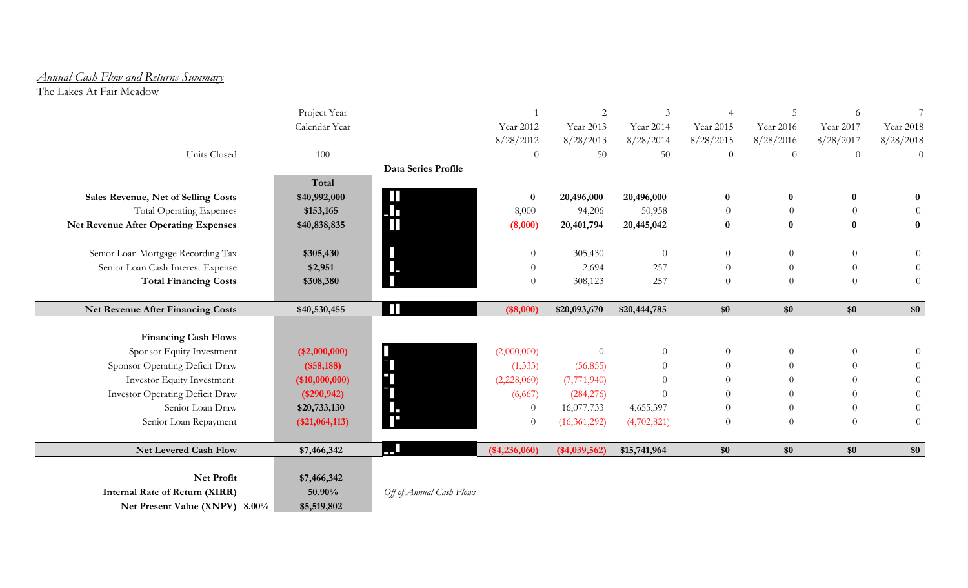### *Annual Cash Flow and Returns Summary*

The Lakes At Fair Meadow

|                                             | Project Year    |                          |                  | $\mathbf{2}$   | 3              |                | $\overline{5}$ | 6              |                  |
|---------------------------------------------|-----------------|--------------------------|------------------|----------------|----------------|----------------|----------------|----------------|------------------|
|                                             | Calendar Year   |                          | Year 2012        | Year 2013      | Year 2014      | Year 2015      | Year 2016      | Year 2017      | Year 2018        |
|                                             |                 |                          | 8/28/2012        | 8/28/2013      | 8/28/2014      | 8/28/2015      | 8/28/2016      | 8/28/2017      | 8/28/2018        |
| <b>Units Closed</b>                         | 100             |                          | $\boldsymbol{0}$ | 50             | 50             | $\theta$       | $\theta$       | $\theta$       | $\theta$         |
|                                             |                 | Data Series Profile      |                  |                |                |                |                |                |                  |
|                                             | Total           |                          |                  |                |                |                |                |                |                  |
| Sales Revenue, Net of Selling Costs         | \$40,992,000    | $\mathbf{L}$             | $\bf{0}$         | 20,496,000     | 20,496,000     | $\bf{0}$       | $\bf{0}$       | $\bf{0}$       | $\bf{0}$         |
| <b>Total Operating Expenses</b>             | \$153,165       | $\blacksquare$           | 8,000            | 94,206         | 50,958         | $\theta$       |                | $\theta$       | $\Omega$         |
| <b>Net Revenue After Operating Expenses</b> | \$40,838,835    |                          | (8,000)          | 20,401,794     | 20,445,042     | $\bf{0}$       | $\bf{0}$       | $\bf{0}$       | $\boldsymbol{0}$ |
|                                             |                 |                          |                  |                |                |                |                |                |                  |
| Senior Loan Mortgage Recording Tax          | \$305,430       | $\boldsymbol{\theta}$    | $\overline{0}$   | 305,430        | $\overline{0}$ | $\theta$       | $\theta$       | $\theta$       | $\theta$         |
| Senior Loan Cash Interest Expense           | \$2,951         |                          | $\theta$         | 2,694          | 257            | $\theta$       | $\theta$       | $\theta$       | $\theta$         |
| <b>Total Financing Costs</b>                | \$308,380       |                          | $\theta$         | 308,123        | 257            | $\theta$       | $\overline{0}$ | $\theta$       | $\boldsymbol{0}$ |
|                                             |                 |                          |                  |                |                |                |                |                |                  |
| <b>Net Revenue After Financing Costs</b>    | \$40,530,455    | $\mathbf{L}$             | (\$8,000)        | \$20,093,670   | \$20,444,785   | \$0            | \$0            | \$0            | $\$0$            |
|                                             |                 |                          |                  |                |                |                |                |                |                  |
| <b>Financing Cash Flows</b>                 |                 |                          |                  |                |                |                |                |                |                  |
| Sponsor Equity Investment                   | $(*2,000,000)$  |                          | (2,000,000)      | $\Omega$       | $\overline{0}$ | $\overline{0}$ | $\theta$       | $\overline{0}$ | $\Omega$         |
| Sponsor Operating Deficit Draw              | $(*58,188)$     | H                        | (1, 333)         | (56, 855)      | $\overline{0}$ | $\theta$       | $\Omega$       | $\overline{0}$ | $\overline{0}$   |
| Investor Equity Investment                  | $(*10,000,000)$ |                          | (2,228,060)      | (7,771,940)    | $\theta$       | $\theta$       | $\Omega$       | $\theta$       | $\theta$         |
| Investor Operating Deficit Draw             | $(*290, 942)$   |                          | (6,667)          | (284, 276)     | $\Omega$       | $\theta$       |                | $\theta$       | $\overline{0}$   |
| Senior Loan Draw                            | \$20,733,130    | i<br>F                   | $\overline{0}$   | 16,077,733     | 4,655,397      | $\theta$       | $\theta$       | $\theta$       | $\overline{0}$   |
| Senior Loan Repayment                       | (\$21,064,113)  |                          | $\theta$         | (16,361,292)   | (4,702,821)    | $\theta$       | $\theta$       | $\overline{0}$ | $\theta$         |
|                                             |                 |                          |                  |                |                |                |                |                |                  |
| Net Levered Cash Flow                       | \$7,466,342     | m                        | $(*4,236,060)$   | $(*4,039,562)$ | \$15,741,964   | $\$0$          | \$0            | $\$0$          | \$0              |
| Net Profit                                  |                 |                          |                  |                |                |                |                |                |                  |
|                                             | \$7,466,342     |                          |                  |                |                |                |                |                |                  |
| <b>Internal Rate of Return (XIRR)</b>       | 50.90%          | Off of Annual Cash Flows |                  |                |                |                |                |                |                  |
| Net Present Value (XNPV) 8.00%              | \$5,519,802     |                          |                  |                |                |                |                |                |                  |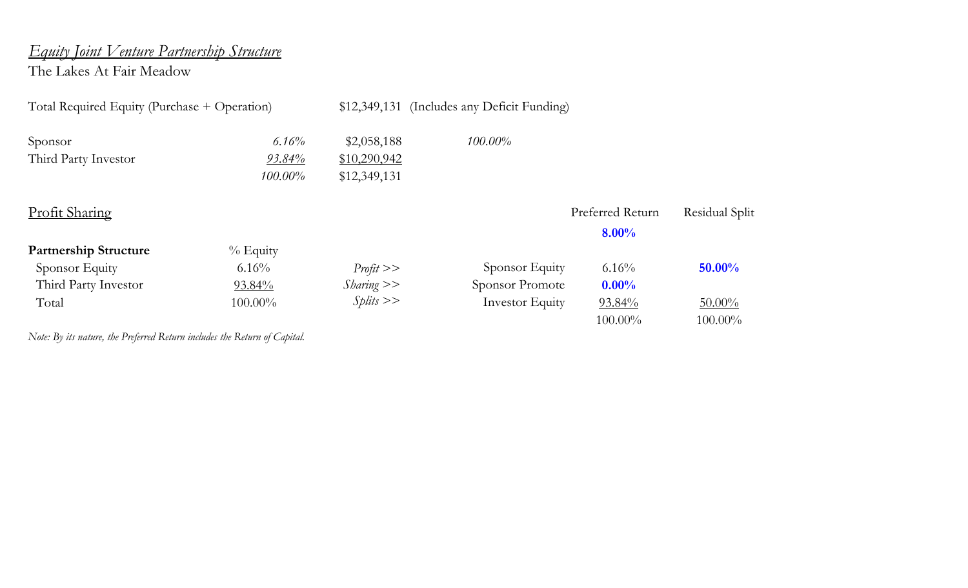# *Equity Joint Venture Partnership Structure*

The Lakes At Fair Meadow

| Total Required Equity (Purchase + Operation) |            | \$12,349,131  | (Includes any Deficit Funding) |                              |                |
|----------------------------------------------|------------|---------------|--------------------------------|------------------------------|----------------|
| Sponsor                                      | 6.16%      | \$2,058,188   | $100.00\%$                     |                              |                |
| Third Party Investor                         | 93.84%     | \$10,290,942  |                                |                              |                |
|                                              | $100.00\%$ | \$12,349,131  |                                |                              |                |
| <b>Profit Sharing</b>                        |            |               |                                | Preferred Return<br>$8.00\%$ | Residual Split |
| <b>Partnership Structure</b>                 | $%$ Equity |               |                                |                              |                |
| Sponsor Equity                               | 6.16%      | Profit        | Sponsor Equity                 | $6.16\%$                     | 50.00%         |
| Third Party Investor                         | 93.84%     | $Sharing \ge$ | <b>Sponsor Promote</b>         | $0.00\%$                     |                |
| Total                                        | $100.00\%$ | Splits        | <b>Investor Equity</b>         | 93.84%                       | $50.00\%$      |
|                                              |            |               |                                | $100.00\%$                   | $100.00\%$     |

*Note: By its nature, the Preferred Return includes the Return of Capital.*